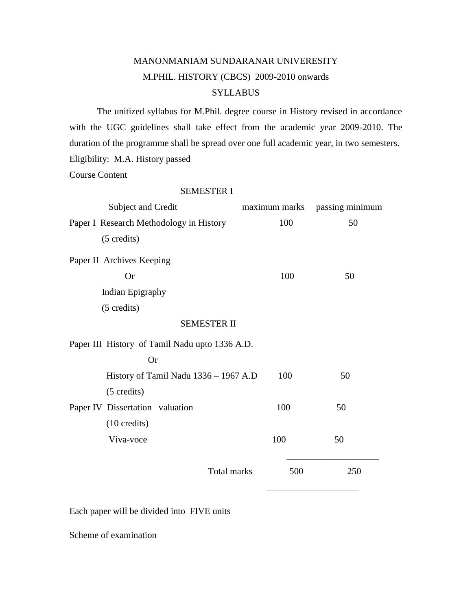# MANONMANIAM SUNDARANAR UNIVERESITY M.PHIL. HISTORY (CBCS) 2009-2010 onwards **SYLLABUS**

The unitized syllabus for M.Phil. degree course in History revised in accordance with the UGC guidelines shall take effect from the academic year 2009-2010. The duration of the programme shall be spread over one full academic year, in two semesters. Eligibility: M.A. History passed

Course Content

### SEMESTER I

| Subject and Credit                             |     | maximum marks passing minimum |
|------------------------------------------------|-----|-------------------------------|
| Paper I Research Methodology in History        | 100 | 50                            |
| $(5 \text{ credits})$                          |     |                               |
| Paper II Archives Keeping                      |     |                               |
| <b>Or</b>                                      | 100 | 50                            |
| Indian Epigraphy                               |     |                               |
| $(5 \text{ credits})$                          |     |                               |
| <b>SEMESTER II</b>                             |     |                               |
| Paper III History of Tamil Nadu upto 1336 A.D. |     |                               |
| <b>Or</b>                                      |     |                               |
| History of Tamil Nadu 1336 - 1967 A.D          | 100 | 50                            |
| $(5 \text{ credits})$                          |     |                               |
| Paper IV Dissertation valuation                | 100 | 50                            |
| $(10 \text{ credits})$                         |     |                               |
| Viva-voce                                      | 100 | 50                            |
| Total marks                                    | 500 | 250                           |
|                                                |     |                               |

Each paper will be divided into FIVE units

Scheme of examination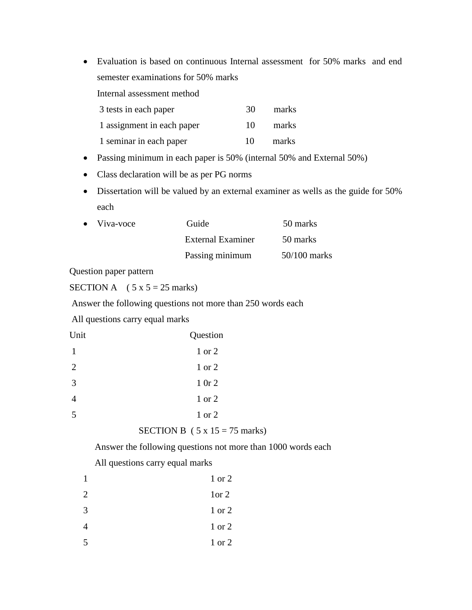Evaluation is based on continuous Internal assessment for 50% marks and end semester examinations for 50% marks

Internal assessment method

| 3 tests in each paper      | 30  | marks |
|----------------------------|-----|-------|
| 1 assignment in each paper | 10  | marks |
| 1 seminar in each paper    | 10. | marks |

- Passing minimum in each paper is 50% (internal 50% and External 50%)
- Class declaration will be as per PG norms
- Dissertation will be valued by an external examiner as wells as the guide for 50% each

| $\bullet$ Viva-voce | Guide                    | 50 marks       |
|---------------------|--------------------------|----------------|
|                     | <b>External Examiner</b> | 50 marks       |
|                     | Passing minimum          | $50/100$ marks |

Question paper pattern

SECTION A  $(5 x 5 = 25$  marks)

Answer the following questions not more than 250 words each

All questions carry equal marks

| Question |
|----------|
| 1 or 2   |
| 1 or 2   |
| 10r2     |
| 1 or 2   |
| 1 or 2   |
|          |

```
SECTION B (5 x 15 = 75 marks)
```
Answer the following questions not more than 1000 words each

All questions carry equal marks

| 1              | 1 or 2 |
|----------------|--------|
| 2              | 1 or 2 |
| 3              | 1 or 2 |
| $\overline{4}$ | 1 or 2 |
| 5              | 1 or 2 |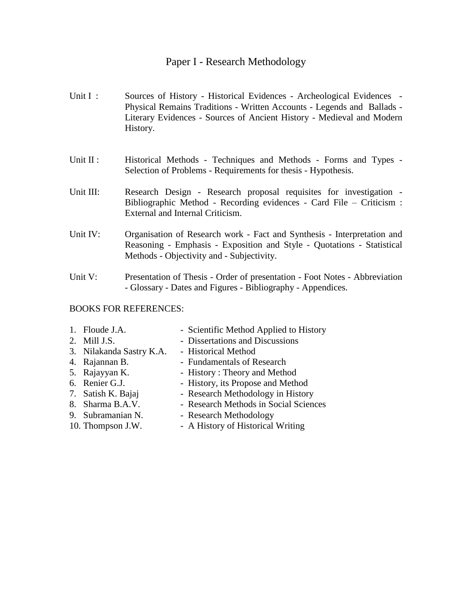## Paper I - Research Methodology

- Unit I : Sources of History Historical Evidences Archeological Evidences -Physical Remains Traditions - Written Accounts - Legends and Ballads - Literary Evidences - Sources of Ancient History - Medieval and Modern History.
- Unit II : Historical Methods Techniques and Methods Forms and Types -Selection of Problems - Requirements for thesis - Hypothesis.
- Unit III: Research Design Research proposal requisites for investigation -Bibliographic Method - Recording evidences - Card File – Criticism : External and Internal Criticism.
- Unit IV: Organisation of Research work Fact and Synthesis Interpretation and Reasoning - Emphasis - Exposition and Style - Quotations - Statistical Methods - Objectivity and - Subjectivity.
- Unit V: Presentation of Thesis Order of presentation Foot Notes Abbreviation - Glossary - Dates and Figures - Bibliography - Appendices.

## BOOKS FOR REFERENCES:

| 1. Floude J.A.           | - Scientific Method Applied to History |
|--------------------------|----------------------------------------|
| 2. Mill J.S.             | - Dissertations and Discussions        |
| 3. Nilakanda Sastry K.A. | - Historical Method                    |
| 4. Rajannan B.           | - Fundamentals of Research             |
| 5. Rajayyan K.           | - History: Theory and Method           |
| 6. Renier G.J.           | - History, its Propose and Method      |
| 7. Satish K. Bajaj       | - Research Methodology in History      |
| 8. Sharma B.A.V.         | - Research Methods in Social Sciences  |
| 9. Subramanian N.        | - Research Methodology                 |
| 10. Thompson J.W.        | - A History of Historical Writing      |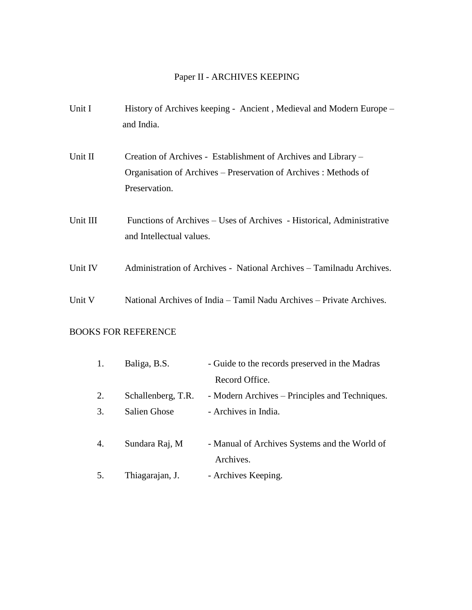## Paper II - ARCHIVES KEEPING

| Unit I   | History of Archives keeping - Ancient, Medieval and Modern Europe -<br>and India.                                                                   |
|----------|-----------------------------------------------------------------------------------------------------------------------------------------------------|
| Unit II  | Creation of Archives - Establishment of Archives and Library –<br>Organisation of Archives – Preservation of Archives : Methods of<br>Preservation. |
| Unit III | Functions of Archives – Uses of Archives - Historical, Administrative<br>and Intellectual values.                                                   |
| Unit IV  | Administration of Archives - National Archives - Tamilnadu Archives.                                                                                |
| Unit V   | National Archives of India – Tamil Nadu Archives – Private Archives.                                                                                |

## BOOKS FOR REFERENCE

| 1. | Baliga, B.S.        | - Guide to the records preserved in the Madras |
|----|---------------------|------------------------------------------------|
|    |                     | Record Office.                                 |
| 2. | Schallenberg, T.R.  | - Modern Archives – Principles and Techniques. |
| 3. | <b>Salien Ghose</b> | - Archives in India.                           |
|    |                     |                                                |
| 4. | Sundara Raj, M      | - Manual of Archives Systems and the World of  |
|    |                     | Archives.                                      |
| 5. | Thiagarajan, J.     | - Archives Keeping.                            |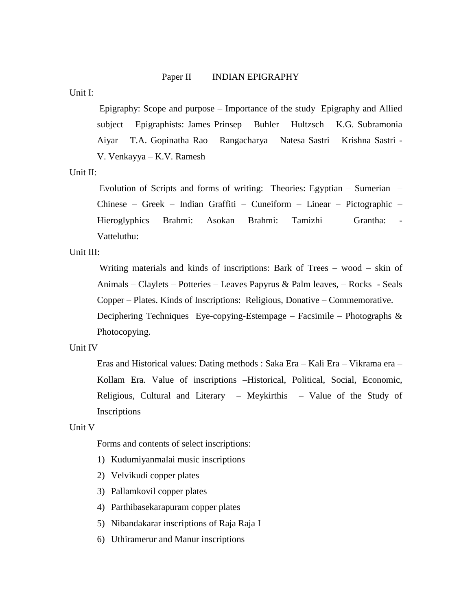#### Paper II INDIAN EPIGRAPHY

Unit I:

Epigraphy: Scope and purpose – Importance of the study Epigraphy and Allied subject – Epigraphists: James Prinsep – Buhler – Hultzsch – K.G. Subramonia Aiyar – T.A. Gopinatha Rao – Rangacharya – Natesa Sastri – Krishna Sastri - V. Venkayya – K.V. Ramesh

Unit II:

Evolution of Scripts and forms of writing: Theories: Egyptian – Sumerian – Chinese – Greek – Indian Graffiti – Cuneiform – Linear – Pictographic – Hieroglyphics Brahmi: Asokan Brahmi: Tamizhi – Grantha: Vatteluthu:

Unit III:

Writing materials and kinds of inscriptions: Bark of Trees – wood – skin of Animals – Claylets – Potteries – Leaves Papyrus & Palm leaves, – Rocks - Seals Copper – Plates. Kinds of Inscriptions: Religious, Donative – Commemorative. Deciphering Techniques Eye-copying-Estempage – Facsimile – Photographs  $\&$ Photocopying.

### Unit IV

Eras and Historical values: Dating methods : Saka Era – Kali Era – Vikrama era – Kollam Era. Value of inscriptions –Historical, Political, Social, Economic, Religious, Cultural and Literary – Meykirthis – Value of the Study of Inscriptions

Unit V

Forms and contents of select inscriptions:

- 1) Kudumiyanmalai music inscriptions
- 2) Velvikudi copper plates
- 3) Pallamkovil copper plates
- 4) Parthibasekarapuram copper plates
- 5) Nibandakarar inscriptions of Raja Raja I
- 6) Uthiramerur and Manur inscriptions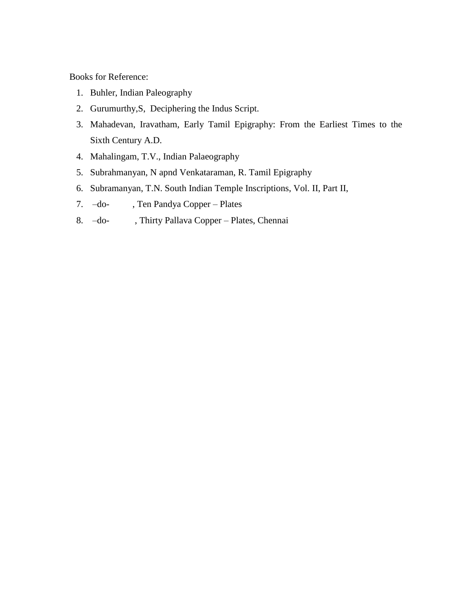Books for Reference:

- 1. Buhler, Indian Paleography
- 2. Gurumurthy,S, Deciphering the Indus Script.
- 3. Mahadevan, Iravatham, Early Tamil Epigraphy: From the Earliest Times to the Sixth Century A.D.
- 4. Mahalingam, T.V., Indian Palaeography
- 5. Subrahmanyan, N apnd Venkataraman, R. Tamil Epigraphy
- 6. Subramanyan, T.N. South Indian Temple Inscriptions, Vol. II, Part II,
- 7. –do- , Ten Pandya Copper Plates
- 8. –do- , Thirty Pallava Copper Plates, Chennai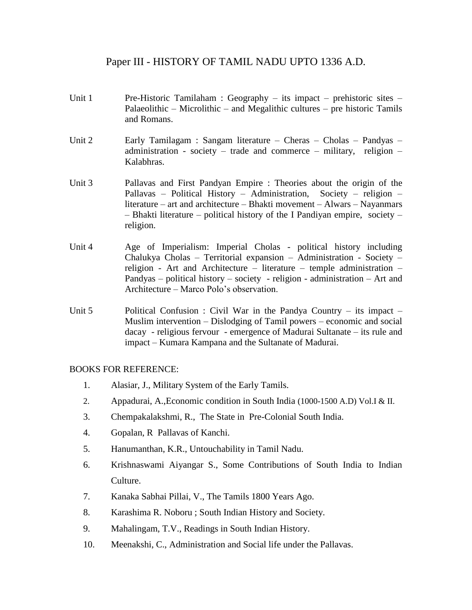## Paper III - HISTORY OF TAMIL NADU UPTO 1336 A.D.

- Unit 1 Pre-Historic Tamilaham : Geography its impact prehistoric sites Palaeolithic – Microlithic – and Megalithic cultures – pre historic Tamils and Romans.
- Unit 2 Early Tamilagam : Sangam literature Cheras Cholas Pandyas administration - society – trade and commerce – military, religion – Kalabhras.
- Unit 3 Pallavas and First Pandyan Empire : Theories about the origin of the Pallavas – Political History – Administration, Society – religion – literature – art and architecture – Bhakti movement – Alwars – Nayanmars – Bhakti literature – political history of the I Pandiyan empire, society – religion.
- Unit 4 Age of Imperialism: Imperial Cholas political history including Chalukya Cholas – Territorial expansion – Administration - Society – religion - Art and Architecture – literature – temple administration – Pandyas – political history – society - religion - administration – Art and Architecture – Marco Polo's observation.
- Unit 5 Political Confusion : Civil War in the Pandya Country its impact Muslim intervention – Dislodging of Tamil powers – economic and social dacay - religious fervour - emergence of Madurai Sultanate – its rule and impact – Kumara Kampana and the Sultanate of Madurai.

## BOOKS FOR REFERENCE:

- 1. Alasiar, J., Military System of the Early Tamils.
- 2. Appadurai, A.,Economic condition in South India (1000-1500 A.D) Vol.I & II.
- 3. Chempakalakshmi, R., The State in Pre-Colonial South India.
- 4. Gopalan, R Pallavas of Kanchi.
- 5. Hanumanthan, K.R., Untouchability in Tamil Nadu.
- 6. Krishnaswami Aiyangar S., Some Contributions of South India to Indian Culture.
- 7. Kanaka Sabhai Pillai, V., The Tamils 1800 Years Ago.
- 8. Karashima R. Noboru ; South Indian History and Society.
- 9. Mahalingam, T.V., Readings in South Indian History.
- 10. Meenakshi, C., Administration and Social life under the Pallavas.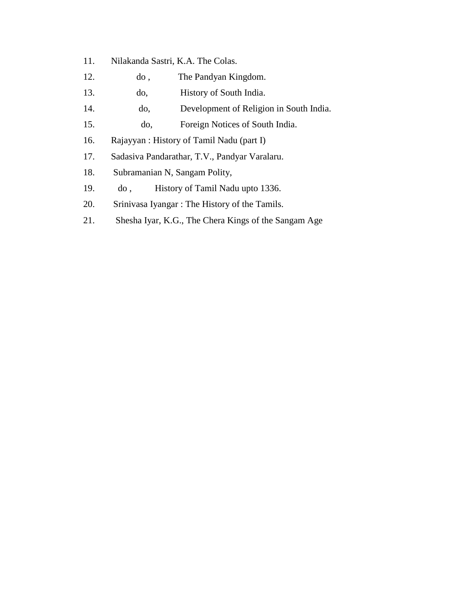- 11. Nilakanda Sastri, K.A. The Colas.
- 12. do , The Pandyan Kingdom.
- 13. do, History of South India.
- 14. do, Development of Religion in South India.
- 15. do, Foreign Notices of South India.
- 16. Rajayyan : History of Tamil Nadu (part I)
- 17. Sadasiva Pandarathar, T.V., Pandyar Varalaru.
- 18. Subramanian N, Sangam Polity,
- 19. do , History of Tamil Nadu upto 1336.
- 20. Srinivasa Iyangar : The History of the Tamils.
- 21. Shesha Iyar, K.G., The Chera Kings of the Sangam Age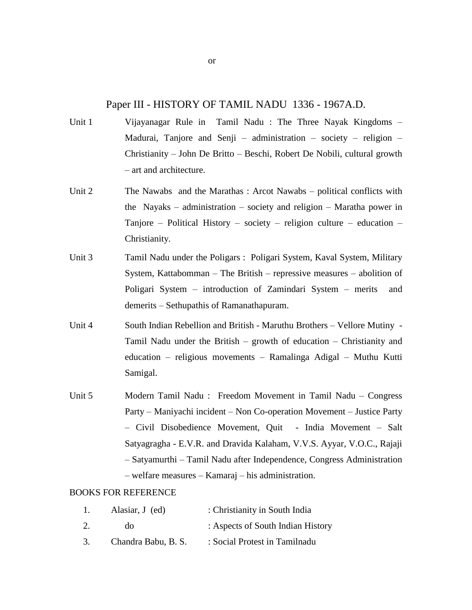## Paper III - HISTORY OF TAMIL NADU 1336 - 1967A.D.

- Unit 1 Vijayanagar Rule in Tamil Nadu : The Three Nayak Kingdoms Madurai, Tanjore and Senji – administration – society – religion – Christianity – John De Britto – Beschi, Robert De Nobili, cultural growth – art and architecture.
- Unit 2 The Nawabs and the Marathas : Arcot Nawabs political conflicts with the Nayaks – administration – society and religion – Maratha power in Tanjore – Political History – society – religion culture – education – Christianity.
- Unit 3 Tamil Nadu under the Poligars : Poligari System, Kaval System, Military System, Kattabomman – The British – repressive measures – abolition of Poligari System – introduction of Zamindari System – merits and demerits – Sethupathis of Ramanathapuram.
- Unit 4 South Indian Rebellion and British Maruthu Brothers Vellore Mutiny Tamil Nadu under the British – growth of education – Christianity and education – religious movements – Ramalinga Adigal – Muthu Kutti Samigal.
- Unit 5 Modern Tamil Nadu : Freedom Movement in Tamil Nadu Congress Party – Maniyachi incident – Non Co-operation Movement – Justice Party – Civil Disobedience Movement, Quit - India Movement – Salt Satyagragha - E.V.R. and Dravida Kalaham, V.V.S. Ayyar, V.O.C., Rajaji – Satyamurthi – Tamil Nadu after Independence, Congress Administration – welfare measures – Kamaraj – his administration.

#### BOOKS FOR REFERENCE

| 1. | Alasiar, J (ed)     | : Christianity in South India     |
|----|---------------------|-----------------------------------|
| 2. | do                  | : Aspects of South Indian History |
| 3. | Chandra Babu, B. S. | : Social Protest in Tamilnadu     |

or